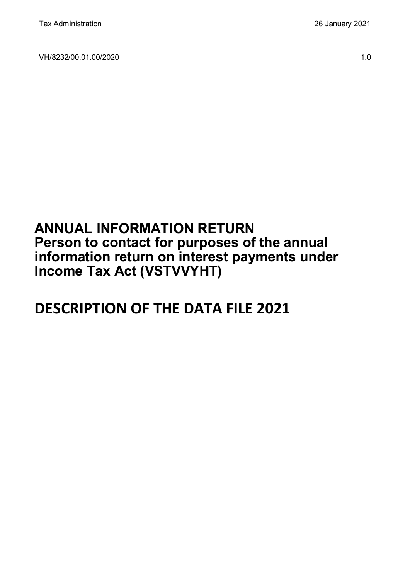VH/8232/00.01.00/2020 1.0

# **ANNUAL INFORMATION RETURN Person to contact for purposes of the annual information return on interest payments under Income Tax Act (VSTVVYHT)**

# **DESCRIPTION OF THE DATA FILE 2021**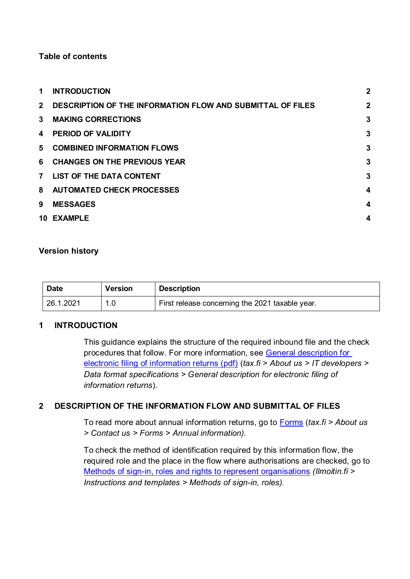# **Table of contents**

| 1              | <b>INTRODUCTION</b>                                               | $\overline{2}$   |
|----------------|-------------------------------------------------------------------|------------------|
| $2^{\circ}$    | <b>DESCRIPTION OF THE INFORMATION FLOW AND SUBMITTAL OF FILES</b> | $\overline{2}$   |
| $\mathbf{3}$   | <b>MAKING CORRECTIONS</b>                                         | 3                |
| 4              | <b>PERIOD OF VALIDITY</b>                                         | 3                |
|                | 5 COMBINED INFORMATION FLOWS                                      | 3                |
|                | 6 CHANGES ON THE PREVIOUS YEAR                                    | 3                |
| 7 <sup>7</sup> | LIST OF THE DATA CONTENT                                          | 3                |
|                | 8 AUTOMATED CHECK PROCESSES                                       | $\boldsymbol{4}$ |
| 9              | <b>MESSAGES</b>                                                   | 4                |
|                | 10 EXAMPLE                                                        | 4                |

#### **Version history**

| <b>Date</b> | <b>Version</b> | <b>Description</b>                              |
|-------------|----------------|-------------------------------------------------|
| 26.1.2021   |                | First release concerning the 2021 taxable year. |

# <span id="page-1-0"></span>**1 INTRODUCTION**

This guidance explains the structure of the required inbound file and the check procedures that follow. For more information, see [General description for](https://www.vero.fi/globalassets/tietoa-verohallinnosta/ohjelmistokehittajille/s%C3%A4hk%C3%B6isen-ilmoittamisen-yleiskuvaus2.pdf)  [electronic filing of information returns \(pdf\)](https://www.vero.fi/globalassets/tietoa-verohallinnosta/ohjelmistokehittajille/s%C3%A4hk%C3%B6isen-ilmoittamisen-yleiskuvaus2.pdf) (*tax.fi > About us > IT developers > Data format specifications > General description for electronic filing of information returns*).

# <span id="page-1-1"></span>**2 DESCRIPTION OF THE INFORMATION FLOW AND SUBMITTAL OF FILES**

To read more about annual information returns, go to [Forms](https://www.vero.fi/en/About-us/contact-us/forms/) (*tax.fi > About us > Contact us > Forms > Annual information).*

To check the method of identification required by this information flow, the required role and the place in the flow where authorisations are checked, go to [Methods of sign-in, roles and rights to represent organisations](https://www.ilmoitin.fi/webtamo/sivut/IlmoituslajiRoolit?kieli=en&tv=VSTVVYHT) *[\(Ilmoitin.fi >](https://www.ilmoitin.fi/webtamo/sivut/IlmoituslajiRoolit?kieli=en)  [Instructions and templates > Methods of sign-in, roles\)](https://www.ilmoitin.fi/webtamo/sivut/IlmoituslajiRoolit?kieli=en).*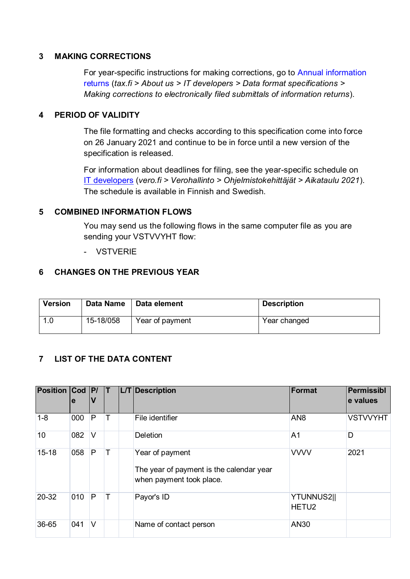# <span id="page-2-0"></span>**3 MAKING CORRECTIONS**

For year-specific instructions for making corrections, go to [Annual information](https://www.vero.fi/en/About-us/it_developer/data-format-specifications/annual_information_returns__instruction/)  [returns](https://www.vero.fi/en/About-us/it_developer/data-format-specifications/annual_information_returns__instruction/) (*tax.fi > About us > IT developers > Data format specifications > Making corrections to electronically filed submittals of information returns*).

#### <span id="page-2-1"></span>**4 PERIOD OF VALIDITY**

The file formatting and checks according to this specification come into force on 26 January 2021 and continue to be in force until a new version of the specification is released.

For information about deadlines for filing, see the year-specific schedule on [IT developers](https://www.vero.fi/tietoa-verohallinnosta/kehittaja/) (*vero.fi > Verohallinto > Ohjelmistokehittäjät > Aikataulu 2021*). The schedule is available in Finnish and Swedish.

#### <span id="page-2-2"></span>**5 COMBINED INFORMATION FLOWS**

You may send us the following flows in the same computer file as you are sending your VSTVVYHT flow:

- VSTVERIE

#### <span id="page-2-3"></span>**6 CHANGES ON THE PREVIOUS YEAR**

| <b>Version</b> | Data Name | Data element    | <b>Description</b> |
|----------------|-----------|-----------------|--------------------|
|                | 15-18/058 | Year of payment | Year changed       |

# <span id="page-2-4"></span>**7 LIST OF THE DATA CONTENT**

| <b>Position Cod P/</b> | e   | V |  | <b>L/T</b> Description                                                                  | Format                          | Permissibl<br>e values |
|------------------------|-----|---|--|-----------------------------------------------------------------------------------------|---------------------------------|------------------------|
| $1 - 8$                | 000 | P |  | File identifier                                                                         | AN <sub>8</sub>                 | <b>VSTVVYHT</b>        |
| 10                     | 082 | V |  | <b>Deletion</b>                                                                         | A <sub>1</sub>                  | D                      |
| $15 - 18$              | 058 | P |  | Year of payment<br>The year of payment is the calendar year<br>when payment took place. | <b>VVVV</b>                     | 2021                   |
| 20-32                  | 010 | P |  | Payor's ID                                                                              | YTUNNUS2  <br>HETU <sub>2</sub> |                        |
| 36-65                  | 041 | V |  | Name of contact person                                                                  | AN30                            |                        |